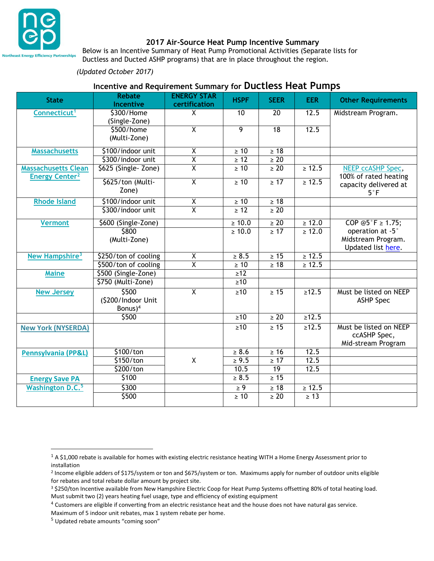

#### **2017 Air-Source Heat Pump Incentive Summary**

Below is an Incentive Summary of Heat Pump Promotional Activities (Separate lists for Ductless and Ducted ASHP programs) that are in place throughout the region.

#### *(Updated October 2017)*

# **Incentive and Requirement Summary for Ductless Heat Pumps**

| <b>State</b>                                                   | <b>Rebate</b><br><b>Incentive</b>                  | <b>ENERGY STAR</b><br>certification | <b>HSPF</b>         | <b>SEER</b>     | <b>EER</b>  | <b>Other Requirements</b>                                    |
|----------------------------------------------------------------|----------------------------------------------------|-------------------------------------|---------------------|-----------------|-------------|--------------------------------------------------------------|
| Connecticut <sup>1</sup>                                       | \$300/Home<br>(Single-Zone)                        | X.                                  | $\overline{10}$     | $\overline{20}$ | 12.5        | Midstream Program.                                           |
|                                                                | \$500/home<br>(Multi-Zone)                         | $\overline{\chi}$                   | $\overline{9}$      | 18              | 12.5        |                                                              |
| <b>Massachusetts</b>                                           | \$100/indoor unit                                  | $\overline{\mathsf{X}}$             | $\geq 10$           | $\geq 18$       |             |                                                              |
|                                                                | \$300/indoor unit                                  | $\overline{\mathsf{X}}$             | $\geq 12$           | $\geq 20$       |             |                                                              |
| <b>Massachusetts Clean</b><br><b>Energy Center<sup>2</sup></b> | \$625 (Single-Zone)                                | $\overline{\mathsf{x}}$             | $\geq 10$           | $\geq 20$       | $\geq 12.5$ | NEEP ccASHP Spec,<br>100% of rated heating                   |
|                                                                | \$625/ton (Multi-<br>Zone)                         | $\overline{\chi}$                   | $\geq 10$           | $\geq 17$       | $\geq 12.5$ | capacity delivered at<br>$5^\circ$ F                         |
| <b>Rhode Island</b>                                            | \$100/indoor unit                                  | $\frac{\overline{x}}{\overline{x}}$ | $\geq 10$           | $\geq 18$       |             |                                                              |
|                                                                | \$300/indoor unit                                  |                                     | $\geq 12$           | $\geq 20$       |             |                                                              |
| <b>Vermont</b>                                                 | \$600 (Single-Zone)                                |                                     | $\geq 10.0$         | $\geq 20$       | $\geq 12.0$ | COP $@5^\circ F \ge 1.75$ ;                                  |
|                                                                | \$800<br>(Multi-Zone)                              |                                     | $\geq 10.0$         | $\geq 17$       | $\geq 12.0$ | operation at -5°<br>Midstream Program.<br>Updated list here. |
| New Hampshire <sup>3</sup>                                     | \$250/ton of cooling                               | $\overline{\mathsf{X}}$             | $\geq 8.5$          | $\geq 15$       | $\geq 12.5$ |                                                              |
|                                                                | \$500/ton of cooling                               | $\overline{\mathsf{x}}$             | $\geq 10$           | $\geq 18$       | $\geq 12.5$ |                                                              |
| <b>Maine</b>                                                   | \$500 (Single-Zone)                                |                                     | $\geq 12$           |                 |             |                                                              |
|                                                                | \$750 (Multi-Zone)                                 |                                     | $\geq 10$           |                 |             |                                                              |
| <b>New Jersey</b>                                              | \$500<br>(\$200/Indoor Unit<br>Bonus) <sup>4</sup> | $\overline{\mathsf{x}}$             | $\geq 10$           | $\geq 15$       | $\geq 12.5$ | Must be listed on NEEP<br><b>ASHP Spec</b>                   |
|                                                                | \$500                                              |                                     | $\geq 10$           | $\geq 20$       | $\geq 12.5$ |                                                              |
| <b>New York (NYSERDA)</b>                                      |                                                    |                                     | $\geq 10$           | $\geq 15$       | $\geq 12.5$ | Must be listed on NEEP<br>ccASHP Spec,<br>Mid-stream Program |
| <b>Pennsylvania (PP&amp;L)</b>                                 | \$100/ton                                          |                                     | $\geq 8.6$          | $\geq 16$       | 12.5        |                                                              |
|                                                                | \$150/ton                                          | Χ                                   | $\geq 9.5$          | $\geq 17$       | 12.5        |                                                              |
|                                                                | \$200/ton                                          |                                     | 10.5                | 19              | 12.5        |                                                              |
| <b>Energy Save PA</b>                                          | \$100                                              |                                     | $\geq 8.5$          | $\geq 15$       |             |                                                              |
| <b>Washington D.C.</b> <sup>5</sup>                            | \$300                                              |                                     | $\geq \overline{9}$ | $\geq 18$       | $\geq 12.5$ |                                                              |
|                                                                | \$500                                              |                                     | $\geq 10$           | $\geq 20$       | $\geq 13$   |                                                              |

 $\overline{a}$ 

 $1 A $1,000$  rebate is available for homes with existing electric resistance heating WITH a Home Energy Assessment prior to installation

<sup>2</sup> Income eligible adders of \$175/system or ton and \$675/system or ton. Maximums apply for number of outdoor units eligible for rebates and total rebate dollar amount by project site.

<sup>&</sup>lt;sup>3</sup> \$250/ton Incentive available from New Hampshire Electric Coop for Heat Pump Systems offsetting 80% of total heating load. Must submit two (2) years heating fuel usage, type and efficiency of existing equipment

<sup>&</sup>lt;sup>4</sup> Customers are eligible if converting from an electric resistance heat and the house does not have natural gas service.

Maximum of 5 indoor unit rebates, max 1 system rebate per home.

<sup>5</sup> Updated rebate amounts "coming soon"